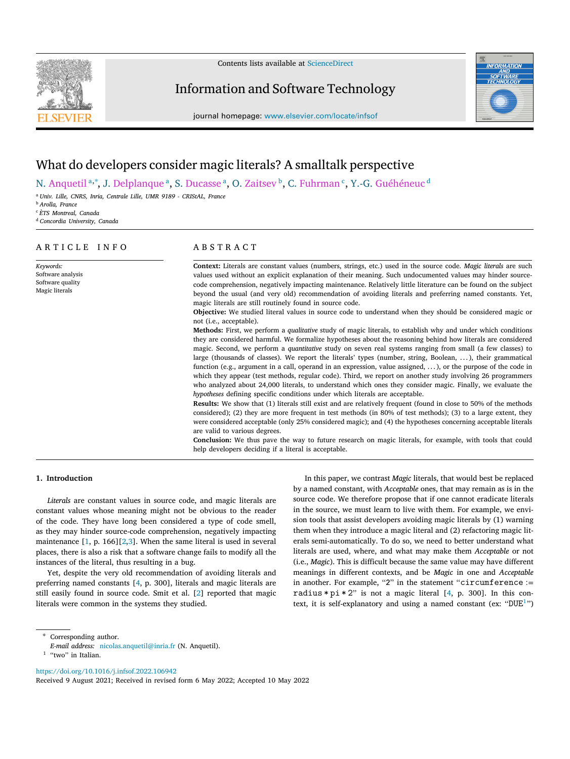

Contents lists available at [ScienceDirect](http://www.elsevier.com/locate/infsof)

# Information and Software Technology



journal homepage: [www.elsevier.com/locate/infsof](http://www.elsevier.com/locate/infsof)

# What do developers consider magic literals? A smalltalk perspective

N. Anquetil <sup>[a](#page-0-0),\*</sup>, J. Delplanque <sup>a</sup>, S. Ducasse <sup>a</sup>, O. Zaitsev <sup>[b](#page-0-2)</sup>, C. Fuhrman <sup>[c](#page-0-3)</sup>, Y.-G. Guéhéneuc <sup>[d](#page-0-4)</sup>

<span id="page-0-0"></span><sup>a</sup> *Univ. Lille, CNRS, Inria, Centrale Lille, UMR 9189 - CRIStAL, France*

<span id="page-0-2"></span><sup>b</sup> *Arolla, France*

*Keywords:* Software analysis Software quality Magic literals

<span id="page-0-3"></span><sup>c</sup> *ÈTS Montreal, Canada*

<span id="page-0-4"></span><sup>d</sup> *Concordia University, Canada*

# A R T I C L E I N F O

# A B S T R A C T

**Context:** Literals are constant values (numbers, strings, etc.) used in the source code. *Magic literals* are such values used without an explicit explanation of their meaning. Such undocumented values may hinder sourcecode comprehension, negatively impacting maintenance. Relatively little literature can be found on the subject beyond the usual (and very old) recommendation of avoiding literals and preferring named constants. Yet, magic literals are still routinely found in source code.

**Objective:** We studied literal values in source code to understand when they should be considered magic or not (i.e., acceptable).

**Methods:** First, we perform a *qualitative* study of magic literals, to establish why and under which conditions they are considered harmful. We formalize hypotheses about the reasoning behind how literals are considered magic. Second, we perform a *quantitative* study on seven real systems ranging from small (a few classes) to large (thousands of classes). We report the literals' types (number, string, Boolean, . ..), their grammatical function (e.g., argument in a call, operand in an expression, value assigned, ...), or the purpose of the code in which they appear (test methods, regular code). Third, we report on another study involving 26 programmers who analyzed about 24,000 literals, to understand which ones they consider magic. Finally, we evaluate the *hypotheses* defining specific conditions under which literals are acceptable.

**Results:** We show that (1) literals still exist and are relatively frequent (found in close to 50% of the methods considered); (2) they are more frequent in test methods (in 80% of test methods); (3) to a large extent, they were considered acceptable (only 25% considered magic); and (4) the hypotheses concerning acceptable literals are valid to various degrees.

**Conclusion:** We thus pave the way to future research on magic literals, for example, with tools that could help developers deciding if a literal is acceptable.

## **1. Introduction**

*Literals* are constant values in source code, and magic literals are constant values whose meaning might not be obvious to the reader of the code. They have long been considered a type of code smell, as they may hinder source-code comprehension, negatively impacting maintenance [[1](#page-12-0), p. 166][\[2,](#page-12-1)[3\]](#page-12-2). When the same literal is used in several places, there is also a risk that a software change fails to modify all the instances of the literal, thus resulting in a bug.

Yet, despite the very old recommendation of avoiding literals and preferring named constants [[4](#page-12-3), p. 300], literals and magic literals are still easily found in source code. Smit et al. [\[2\]](#page-12-1) reported that magic literals were common in the systems they studied.

In this paper, we contrast *Magic* literals, that would best be replaced by a named constant, with *Acceptable* ones, that may remain as is in the source code. We therefore propose that if one cannot eradicate literals in the source, we must learn to live with them. For example, we envision tools that assist developers avoiding magic literals by (1) warning them when they introduce a magic literal and (2) refactoring magic literals semi-automatically. To do so, we need to better understand what literals are used, where, and what may make them *Acceptable* or not (i.e., *Magic*). This is difficult because the same value may have different meanings in different contexts, and be *Magic* in one and *Acceptable* in another. For example, "2" in the statement "circumference := radius  $*pi * 2"$  is not a magic literal [[4](#page-12-3), p. 300]. In this con-text, it is self-explanatory and using a named constant (ex: "DUE<sup>[1](#page-0-5)</sup>")

<span id="page-0-1"></span>∗ Corresponding author.

<https://doi.org/10.1016/j.infsof.2022.106942>

Received 9 August 2021; Received in revised form 6 May 2022; Accepted 10 May 2022

*E-mail address:* [nicolas.anquetil@inria.fr](mailto:nicolas.anquetil@inria.fr) (N. Anquetil).

<span id="page-0-5"></span><sup>&</sup>lt;sup>1</sup> "two" in Italian.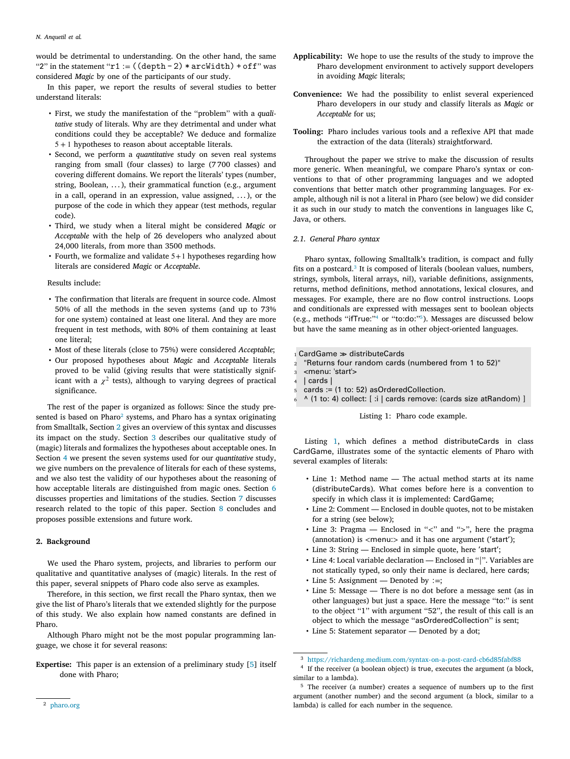would be detrimental to understanding. On the other hand, the same "2" in the statement " $r1 := ((depth - 2) * arcWidth) + off$ " was considered *Magic* by one of the participants of our study.

In this paper, we report the results of several studies to better understand literals:

- First, we study the manifestation of the ''problem'' with a *qualitative* study of literals. Why are they detrimental and under what conditions could they be acceptable? We deduce and formalize 5 + 1 hypotheses to reason about acceptable literals.
- Second, we perform a *quantitative* study on seven real systems ranging from small (four classes) to large (7 700 classes) and covering different domains. We report the literals' types (number, string, Boolean,  $\dots$ ), their grammatical function (e.g., argument in a call, operand in an expression, value assigned,  $\dots$ ), or the purpose of the code in which they appear (test methods, regular code).
- Third, we study when a literal might be considered *Magic* or *Acceptable* with the help of 26 developers who analyzed about 24,000 literals, from more than 3500 methods.
- Fourth, we formalize and validate 5+1 hypotheses regarding how literals are considered *Magic* or *Acceptable*.

### Results include:

- The confirmation that literals are frequent in source code. Almost 50% of all the methods in the seven systems (and up to 73% for one system) contained at least one literal. And they are more frequent in test methods, with 80% of them containing at least one literal;
- Most of these literals (close to 75%) were considered *Acceptable*;
- Our proposed hypotheses about *Magic* and *Acceptable* literals proved to be valid (giving results that were statistically significant with a  $\chi^2$  tests), although to varying degrees of practical significance.

<span id="page-1-0"></span>The rest of the paper is organized as follows: Since the study presented is based on Pharo $^2$  $^2$  systems, and Pharo has a syntax originating from Smalltalk, Section [2](#page-1-1) gives an overview of this syntax and discusses its impact on the study. Section [3](#page-2-0) describes our qualitative study of (magic) literals and formalizes the hypotheses about acceptable ones. In Section [4](#page-5-0) we present the seven systems used for our *quantitative* study, we give numbers on the prevalence of literals for each of these systems, and we also test the validity of our hypotheses about the reasoning of how acceptable literals are distinguished from magic ones. Section [6](#page-10-0) discusses properties and limitations of the studies. Section [7](#page-10-1) discusses research related to the topic of this paper. Section [8](#page-12-4) concludes and proposes possible extensions and future work.

### **2. Background**

<span id="page-1-1"></span>We used the Pharo system, projects, and libraries to perform our qualitative and quantitative analyses of (magic) literals. In the rest of this paper, several snippets of Pharo code also serve as examples.

Therefore, in this section, we first recall the Pharo syntax, then we give the list of Pharo's literals that we extended slightly for the purpose of this study. We also explain how named constants are defined in Pharo.

Although Pharo might not be the most popular programming language, we chose it for several reasons:

**Expertise:** This paper is an extension of a preliminary study [[5\]](#page-12-5) itself done with Pharo;

- **Applicability:** We hope to use the results of the study to improve the Pharo development environment to actively support developers in avoiding *Magic* literals;
- **Convenience:** We had the possibility to enlist several experienced Pharo developers in our study and classify literals as *Magic* or *Acceptable* for us;
- **Tooling:** Pharo includes various tools and a reflexive API that made the extraction of the data (literals) straightforward.

Throughout the paper we strive to make the discussion of results more generic. When meaningful, we compare Pharo's syntax or conventions to that of other programming languages and we adopted conventions that better match other programming languages. For example, although nil is not a literal in Pharo (see below) we did consider it as such in our study to match the conventions in languages like C, Java, or others.

### *2.1. General Pharo syntax*

<span id="page-1-2"></span>Pharo syntax, following Smalltalk's tradition, is compact and fully fits on a postcard.<sup>[3](#page-1-2)</sup> It is composed of literals (boolean values, numbers, strings, symbols, literal arrays, nil), variable definitions, assignments, returns, method definitions, method annotations, lexical closures, and messages. For example, there are no flow control instructions. Loops and conditionals are expressed with messages sent to boolean objects (e.g., methods ''ifTrue:'' [4](#page-1-3) or ''to:do:'' [5](#page-1-4) ). Messages are discussed below but have the same meaning as in other object-oriented languages.

<span id="page-1-5"></span><span id="page-1-3"></span> $_1$  CardGame  $\gg$  distributeCards

- <sup>2</sup> "Returns four random cards (numbered from 1 to 52)"
- <sup>3</sup> <menu: 'start'>
- <sup>4</sup> | cards |
- $5 \text{ cards} := (1 \text{ to: } 52)$  as Ordered Collection.
- ^ (1 to: 4) collect: [ :i | cards remove: (cards size atRandom) ]

### <span id="page-1-4"></span>Listing 1: Pharo code example.

Listing [1,](#page-1-5) which defines a method distributeCards in class CardGame, illustrates some of the syntactic elements of Pharo with several examples of literals:

- Line 1: Method name The actual method starts at its name (distributeCards). What comes before here is a convention to specify in which class it is implemented: CardGame;
- Line 2: Comment Enclosed in double quotes, not to be mistaken for a string (see below);
- Line 3: Pragma Enclosed in ''*<*'' and ''*>*'', here the pragma (annotation) is *<*menu:*>* and it has one argument ('start');
- Line 3: String Enclosed in simple quote, here 'start';
- Line 4: Local variable declaration Enclosed in ''|''. Variables are not statically typed, so only their name is declared, here cards;
- Line 5: Assignment Denoted by ∶=;
- Line 5: Message There is no dot before a message sent (as in other languages) but just a space. Here the message "to:" is sent to the object "1" with argument "52", the result of this call is an object to which the message ''asOrderedCollection'' is sent; • Line 5: Statement separator — Denoted by a dot;

<sup>3</sup> <https://richardeng.medium.com/syntax-on-a-post-card-cb6d85fabf88>

<sup>4</sup> If the receiver (a boolean object) is true, executes the argument (a block, similar to a lambda).

<sup>5</sup> The receiver (a number) creates a sequence of numbers up to the first argument (another number) and the second argument (a block, similar to a lambda) is called for each number in the sequence.

<sup>2</sup> [pharo.org](http://pharo.org)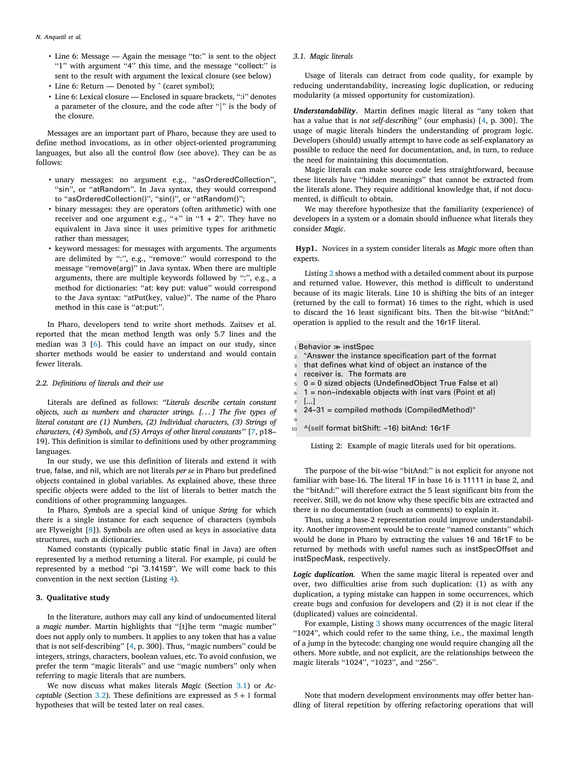- Line 6: Message Again the message "to:" is sent to the object "1" with argument "4" this time, and the message "collect:" is sent to the result with argument the lexical closure (see below)
- Line 6: Return Denoted by ^ (caret symbol);
- Line 6: Lexical closure Enclosed in square brackets, '':i'' denotes a parameter of the closure, and the code after "|" is the body of the closure.

Messages are an important part of Pharo, because they are used to define method invocations, as in other object-oriented programming languages, but also all the control flow (see above). They can be as follows:

- unary messages: no argument e.g., ''asOrderedCollection'', "sin", or "atRandom". In Java syntax, they would correspond to "asOrderedCollection()", "sin()", or "atRandom()";
- binary messages: they are operators (often arithmetic) with one receiver and one argument e.g., "+" in "1 + 2". They have no equivalent in Java since it uses primitive types for arithmetic rather than messages;
- keyword messages: for messages with arguments. The arguments are delimited by ":", e.g., "remove:" would correspond to the message ''remove(arg)'' in Java syntax. When there are multiple arguments, there are multiple keywords followed by ":", e.g., a method for dictionaries: ''at: key put: value'' would correspond to the Java syntax: ''atPut(key, value)''. The name of the Pharo method in this case is "at:put:".

In Pharo, developers tend to write short methods. Zaitsev et al. reported that the mean method length was only 5.7 lines and the median was 3 [[6\]](#page-12-6). This could have an impact on our study, since shorter methods would be easier to understand and would contain fewer literals.

### *2.2. Definitions of literals and their use*

<span id="page-2-4"></span>Literals are defined as follows: *''Literals describe certain constant objects, such as numbers and character strings. [. . . ] The five types of literal constant are (1) Numbers, (2) Individual characters, (3) Strings of characters, (4) Symbols, and (5) Arrays of other literal constants''* [[7](#page-12-7), p18– 19]. This definition is similar to definitions used by other programming languages.

In our study, we use this definition of literals and extend it with true, false, and nil, which are not literals *per se* in Pharo but predefined objects contained in global variables. As explained above, these three specific objects were added to the list of literals to better match the conditions of other programming languages.

In Pharo, *Symbol*s are a special kind of unique *String* for which there is a single instance for each sequence of characters (symbols are Flyweight [[8\]](#page-12-8)). Symbols are often used as keys in associative data structures, such as dictionaries.

Named constants (typically public static final in Java) are often represented by a method returning a literal. For example, pi could be represented by a method ''pi ˆ3.14159''. We will come back to this convention in the next section (Listing [4\)](#page-3-0).

### **3. Qualitative study**

<span id="page-2-0"></span>In the literature, authors may call any kind of undocumented literal a *magic number*. Martin highlights that ''[t]he term ''magic number'' does not apply only to numbers. It applies to any token that has a value that is not self-describing'' [\[4,](#page-12-3) p. 300]. Thus, ''magic numbers'' could be integers, strings, characters, boolean values, etc. To avoid confusion, we prefer the term ''magic literals'' and use ''magic numbers'' only when referring to magic literals that are numbers.

We now discuss what makes literals *Magic* (Section [3.1](#page-2-1)) or *Acceptable* (Section [3.2\)](#page-3-1). These definitions are expressed as  $5 + 1$  formal hypotheses that will be tested later on real cases.

### *3.1. Magic literals*

<span id="page-2-1"></span>Usage of literals can detract from code quality, for example by reducing understandability, increasing logic duplication, or reducing modularity (a missed opportunity for customization).

*Understandability.* Martin defines magic literal as ''any token that has a value that is *not self-describing*" (our emphasis) [\[4,](#page-12-3) p. 300]. The usage of magic literals hinders the understanding of program logic. Developers (should) usually attempt to have code as self-explanatory as possible to reduce the need for documentation, and, in turn, to reduce the need for maintaining this documentation.

Magic literals can make source code less straightforward, because these literals have ''hidden meanings'' that cannot be extracted from the literals alone. They require additional knowledge that, if not documented, is difficult to obtain.

We may therefore hypothesize that the familiarity (experience) of developers in a system or a domain should influence what literals they consider *Magic*.

<span id="page-2-3"></span>**Hyp1.** Novices in a system consider literals as *Magic* more often than experts.

Listing [2](#page-2-2) shows a method with a detailed comment about its purpose and returned value. However, this method is difficult to understand because of its magic literals. Line 10 is shifting the bits of an integer (returned by the call to format) 16 times to the right, which is used to discard the 16 least significant bits. Then the bit-wise ''bitAnd:'' operation is applied to the result and the 16r1F literal.

<span id="page-2-2"></span> $_1$  Behavior  $\gg$  instSpec

- "Answer the instance specification part of the format
- <sup>3</sup> that defines what kind of object an instance of the
- <sup>4</sup> receiver is. The formats are
- <sup>5</sup> 0 = 0 sized objects (UndefinedObject True False et al)
- $6<sub>1</sub>$  = non-indexable objects with inst vars (Point et al)
- <sup>7</sup> [...]
- $8$  24-31 = compiled methods (CompiledMethod)"
- 9 10 ^(self format bitShift: -16) bitAnd: 16r1F

Listing 2: Example of magic literals used for bit operations.

The purpose of the bit-wise ''bitAnd:'' is not explicit for anyone not familiar with base-16. The literal 1F in base 16 is 11111 in base 2, and the ''bitAnd:'' will therefore extract the 5 least significant bits from the receiver. Still, we do not know why these specific bits are extracted and there is no documentation (such as comments) to explain it.

Thus, using a base-2 representation could improve understandability. Another improvement would be to create ''named constants'' which would be done in Pharo by extracting the values 16 and 16r1F to be returned by methods with useful names such as instSpecOffset and instSpecMask, respectively.

*Logic duplication.* When the same magic literal is repeated over and over, two difficulties arise from such duplication: (1) as with any duplication, a typing mistake can happen in some occurrences, which create bugs and confusion for developers and (2) it is not clear if the (duplicated) values are coincidental.

For example, Listing [3](#page-3-2) shows many occurrences of the magic literal ''1024'', which could refer to the same thing, i.e., the maximal length of a jump in the bytecode: changing one would require changing all the others. More subtle, and not explicit, are the relationships between the magic literals "1024", "1023", and "256".

Note that modern development environments may offer better handling of literal repetition by offering refactoring operations that will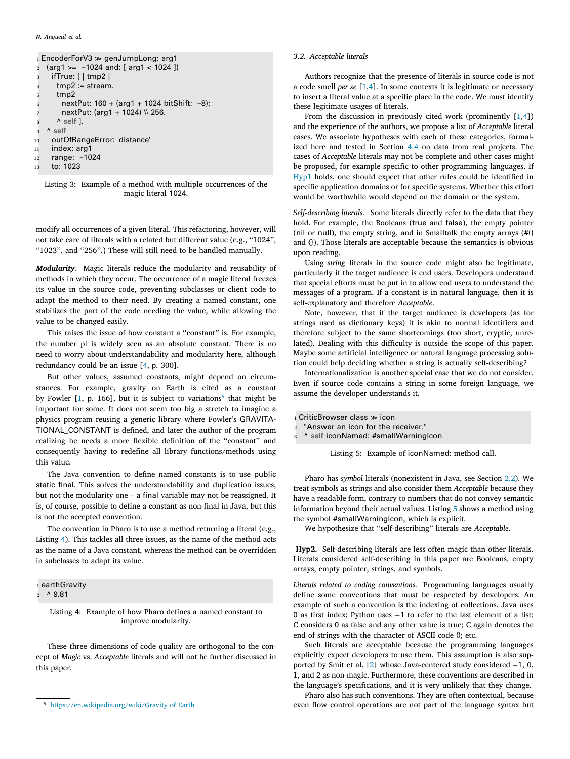```
1 EncoderForV3 \gg genJumpLong: arg1
2 (arg1 >= -1024 and: [ arg1 < 1024 ])
    ifTrue: [ | tmp2 |
      tmp2 := stream.tmp<sub>2</sub>
6 nextPut: 160 + (arg1 + 1024 \text{ bitShift: -8});
       nextPut: (arg1 + 1024) \\ 256.
      A \simeq9 ^ self
10 outOfRangeError: 'distance'
11 index: arg1
12 range: -1024
```
<sup>13</sup> to: 1023

Listing 3: Example of a method with multiple occurrences of the magic literal 1024.

modify all occurrences of a given literal. This refactoring, however, will not take care of literals with a related but different value (e.g., ''1024'', ''1023'', and ''256''.) These will still need to be handled manually.

*Modularity.* Magic literals reduce the modularity and reusability of methods in which they occur. The occurrence of a magic literal freezes its value in the source code, preventing subclasses or client code to adapt the method to their need. By creating a named constant, one stabilizes the part of the code needing the value, while allowing the value to be changed easily.

This raises the issue of how constant a "constant" is. For example, the number pi is widely seen as an absolute constant. There is no need to worry about understandability and modularity here, although redundancy could be an issue [\[4,](#page-12-3) p. 300].

But other values, assumed constants, might depend on circumstances. For example, gravity on Earth is cited as a constant by Fowler [\[1,](#page-12-0) p. 1[6](#page-3-3)6], but it is subject to variations<sup>6</sup> that might be important for some. It does not seem too big a stretch to imagine a physics program reusing a generic library where Fowler's GRAVITA-TIONAL\_CONSTANT is defined, and later the author of the program realizing he needs a more flexible definition of the ''constant'' and consequently having to redefine all library functions/methods using this value.

The Java convention to define named constants is to use public static final. This solves the understandability and duplication issues, but not the modularity one – a final variable may not be reassigned. It is, of course, possible to define a constant as non-final in Java, but this is not the accepted convention.

The convention in Pharo is to use a method returning a literal (e.g., Listing [4](#page-3-0)). This tackles all three issues, as the name of the method acts as the name of a Java constant, whereas the method can be overridden in subclasses to adapt its value.

```
2^{\circ} ^ 9.81
```
Listing 4: Example of how Pharo defines a named constant to improve modularity.

These three dimensions of code quality are orthogonal to the concept of *Magic* vs. *Acceptable* literals and will not be further discussed in this paper.

### *3.2. Acceptable literals*

<span id="page-3-1"></span>Authors recognize that the presence of literals in source code is not a code smell *per se* [[1](#page-12-0)[,4\]](#page-12-3). In some contexts it is legitimate or necessary to insert a literal value at a specific place in the code. We must identify these legitimate usages of literals.

From the discussion in previously cited work (prominently [[1,](#page-12-0)[4](#page-12-3)]) and the experience of the authors, we propose a list of *Acceptable* literal cases. We associate hypotheses with each of these categories, formalized here and tested in Section [4.4](#page-8-0) on data from real projects. The cases of *Acceptable* literals may not be complete and other cases might be proposed, for example specific to other programming languages. If [Hyp1](#page-2-3) holds, one should expect that other rules could be identified in specific application domains or for specific systems. Whether this effort would be worthwhile would depend on the domain or the system.

*Self-describing literals.* Some literals directly refer to the data that they hold. For example, the Booleans (true and false), the empty pointer (nil or null), the empty string, and in Smalltalk the empty arrays (#() and {}). Those literals are acceptable because the semantics is obvious upon reading.

Using *string* literals in the source code might also be legitimate, particularly if the target audience is end users. Developers understand that special efforts must be put in to allow end users to understand the messages of a program. If a constant is in natural language, then it is self-explanatory and therefore *Acceptable*.

Note, however, that if the target audience is developers (as for strings used as dictionary keys) it is akin to normal identifiers and therefore subject to the same shortcomings (too short, cryptic, unrelated). Dealing with this difficulty is outside the scope of this paper. Maybe some artificial intelligence or natural language processing solution could help deciding whether a string is actually self-describing?

Internationalization is another special case that we do not consider. Even if source code contains a string in some foreign language, we assume the developer understands it.

<span id="page-3-4"></span><span id="page-3-3"></span> $_1$  CriticBrowser class  $\gg$  icon

<sup>2</sup> "Answer an icon for the receiver." <sup>3</sup> ^ **self** iconNamed: #smallWarningIcon

Listing 5: Example of iconNamed: method call.

Pharo has *symbol* literals (nonexistent in Java, see Section [2.2\)](#page-2-4). We treat symbols as strings and also consider them *Acceptable* because they have a readable form, contrary to numbers that do not convey semantic information beyond their actual values. Listing [5](#page-3-4) shows a method using the symbol #smallWarningIcon, which is explicit.

We hypothesize that ''self-describing'' literals are *Acceptable*.

<span id="page-3-5"></span>**Hyp2.** Self-describing literals are less often magic than other literals. Literals considered self-describing in this paper are Booleans, empty arrays, empty pointer, strings, and symbols.

*Literals related to coding conventions.* Programming languages usually define some conventions that must be respected by developers. An example of such a convention is the indexing of collections. Java uses 0 as first index; Python uses −1 to refer to the last element of a list; C considers 0 as false and any other value is true; C again denotes the end of strings with the character of ASCII code 0; etc.

Such literals are acceptable because the programming languages explicitly expect developers to use them. This assumption is also supported by Smit et al. [\[2\]](#page-12-1) whose Java-centered study considered −1, 0, 1, and 2 as non-magic. Furthermore, these conventions are described in the language's specifications, and it is very unlikely that they change.

Pharo also has such conventions. They are often contextual, because even flow control operations are not part of the language syntax but

<span id="page-3-0"></span><sup>1</sup> earthGravity

<sup>6</sup> [https://en.wikipedia.org/wiki/Gravity\\_of\\_Earth](https://en.wikipedia.org/wiki/Gravity_of_Earth)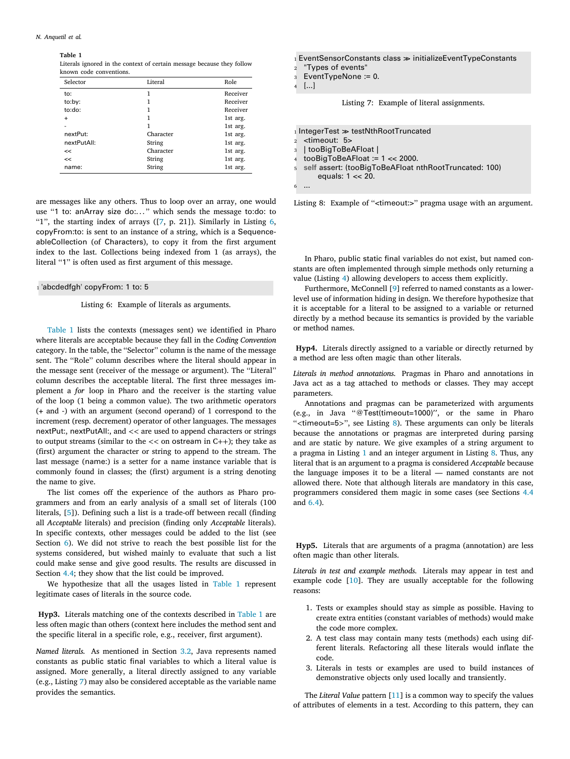**Table 1**

<span id="page-4-1"></span>Literals ignored in the context of certain message because they follow known code conventions.

| Selector    | Literal   | Role     |
|-------------|-----------|----------|
| to:         | 1         | Receiver |
| to:by:      | 1         | Receiver |
| to:do:      | 1         | Receiver |
| $\ddot{}$   | 1         | 1st arg. |
|             | 1         | 1st arg. |
| nextPut:    | Character | 1st arg. |
| nextPutAll: | String    | 1st arg. |
| <<          | Character | 1st arg. |
| <<          | String    | 1st arg. |
| name:       | String    | 1st arg. |

are messages like any others. Thus to loop over an array, one would use "1 to: anArray size do:..." which sends the message to:do: to "1", the starting index of arrays  $([7, p. 21])$  $([7, p. 21])$  $([7, p. 21])$ . Similarly in Listing [6](#page-4-0), copyFrom:to: is sent to an instance of a string, which is a SequenceableCollection (of Characters), to copy it from the first argument index to the last. Collections being indexed from 1 (as arrays), the literal "1" is often used as first argument of this message.

# <span id="page-4-0"></span>1 'abcdedfgh' copyFrom: 1 to: 5

Listing 6: Example of literals as arguments.

[Table](#page-4-1) [1](#page-4-1) lists the contexts (messages sent) we identified in Pharo where literals are acceptable because they fall in the *Coding Convention* category. In the table, the ''Selector'' column is the name of the message sent. The ''Role'' column describes where the literal should appear in the message sent (receiver of the message or argument). The ''Literal'' column describes the acceptable literal. The first three messages implement a *for* loop in Pharo and the receiver is the starting value of the loop (1 being a common value). The two arithmetic operators (+ and -) with an argument (second operand) of 1 correspond to the increment (resp. decrement) operator of other languages. The messages nextPut:, nextPutAll:, and *<<* are used to append characters or strings to output streams (similar to the *<<* on ostream in C++); they take as (first) argument the character or string to append to the stream. The last message (name:) is a setter for a name instance variable that is commonly found in classes; the (first) argument is a string denoting the name to give.

The list comes off the experience of the authors as Pharo programmers and from an early analysis of a small set of literals (100 literals, [[5\]](#page-12-5)). Defining such a list is a trade-off between recall (finding all *Acceptable* literals) and precision (finding only *Acceptable* literals). In specific contexts, other messages could be added to the list (see Section [6\)](#page-10-0). We did not strive to reach the best possible list for the systems considered, but wished mainly to evaluate that such a list could make sense and give good results. The results are discussed in Section [4.4](#page-8-0); they show that the list could be improved.

We hypothesize that all the usages listed in [Table](#page-4-1) [1](#page-4-1) represent legitimate cases of literals in the source code.

<span id="page-4-4"></span>**Hyp3.** Literals matching one of the contexts described in [Table](#page-4-1) [1](#page-4-1) are less often magic than others (context here includes the method sent and the specific literal in a specific role, e.g., receiver, first argument).

*Named literals.* As mentioned in Section [3.2,](#page-3-1) Java represents named constants as public static final variables to which a literal value is assigned. More generally, a literal directly assigned to any variable (e.g., Listing [7\)](#page-4-2) may also be considered acceptable as the variable name provides the semantics.

<span id="page-4-2"></span><sup>1</sup> EventSensorConstants class >> initializeEventTypeConstants

<sup>2</sup> "Types of events"

<sup>3</sup> EventTypeNone := 0.

<sup>4</sup> [...]

Listing 7: Example of literal assignments.

<span id="page-4-3"></span> $_1$  IntegerTest  $\gg$  testNthRootTruncated

<sup>2</sup> <timeout: 5>

<sup>3</sup> | tooBigToBeAFloat |

 $tooBigToBeAFloat := 1 < 2000$ .

<sup>5</sup> **self** assert: (tooBigToBeAFloat nthRootTruncated: 100) equals: 1 << 20.

<sup>6</sup> ...

Listing 8: Example of "<timeout:>" pragma usage with an argument.

In Pharo, public static final variables do not exist, but named constants are often implemented through simple methods only returning a value (Listing [4](#page-3-0)) allowing developers to access them explicitly.

Furthermore, McConnell [\[9\]](#page-13-0) referred to named constants as a lowerlevel use of information hiding in design. We therefore hypothesize that it is acceptable for a literal to be assigned to a variable or returned directly by a method because its semantics is provided by the variable or method names.

<span id="page-4-5"></span>**Hyp4.** Literals directly assigned to a variable or directly returned by a method are less often magic than other literals.

*Literals in method annotations.* Pragmas in Pharo and annotations in Java act as a tag attached to methods or classes. They may accept parameters.

Annotations and pragmas can be parameterized with arguments (e.g., in Java ''@Test(timeout=1000)'', or the same in Pharo ''*<*timeout=5*>*'', see Listing [8\)](#page-4-3). These arguments can only be literals because the annotations or pragmas are interpreted during parsing and are static by nature. We give examples of a string argument to a pragma in Listing [1](#page-1-5) and an integer argument in Listing [8.](#page-4-3) Thus, any literal that is an argument to a pragma is considered *Acceptable* because the language imposes it to be a literal — named constants are not allowed there. Note that although literals are mandatory in this case, programmers considered them magic in some cases (see Sections [4.4](#page-8-0) and [6.4\)](#page-10-2).

<span id="page-4-6"></span>**Hyp5.** Literals that are arguments of a pragma (annotation) are less often magic than other literals.

*Literals in test and example methods.* Literals may appear in test and example code [\[10](#page-13-1)]. They are usually acceptable for the following reasons:

- 1. Tests or examples should stay as simple as possible. Having to create extra entities (constant variables of methods) would make the code more complex.
- 2. A test class may contain many tests (methods) each using different literals. Refactoring all these literals would inflate the code.
- 3. Literals in tests or examples are used to build instances of demonstrative objects only used locally and transiently.

The *Literal Value* pattern [\[11](#page-13-2)] is a common way to specify the values of attributes of elements in a test. According to this pattern, they can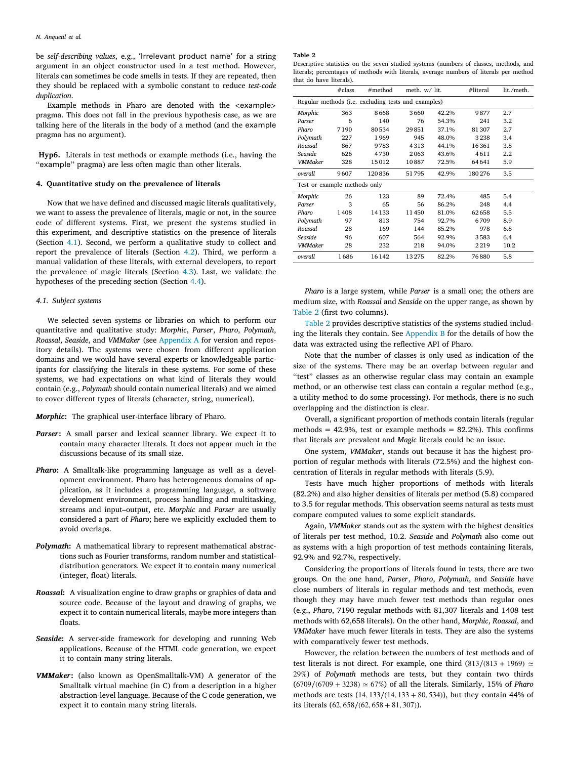be *self-describing values*, e.g., 'Irrelevant product name' for a string argument in an object constructor used in a test method. However, literals can sometimes be code smells in tests. If they are repeated, then they should be replaced with a symbolic constant to reduce *test-code duplication*.

Example methods in Pharo are denoted with the *<*example*>* pragma. This does not fall in the previous hypothesis case, as we are talking here of the literals in the body of a method (and the example pragma has no argument).

<span id="page-5-3"></span>**Hyp6.** Literals in test methods or example methods (i.e., having the "example" pragma) are less often magic than other literals.

### **4. Quantitative study on the prevalence of literals**

<span id="page-5-0"></span>Now that we have defined and discussed magic literals qualitatively, we want to assess the prevalence of literals, magic or not, in the source code of different systems. First, we present the systems studied in this experiment, and descriptive statistics on the presence of literals (Section [4.1](#page-5-1)). Second, we perform a qualitative study to collect and report the prevalence of literals (Section [4.2](#page-6-0)). Third, we perform a manual validation of these literals, with external developers, to report the prevalence of magic literals (Section [4.3\)](#page-6-1). Last, we validate the hypotheses of the preceding section (Section [4.4\)](#page-8-0).

### *4.1. Subject systems*

<span id="page-5-1"></span>We selected seven systems or libraries on which to perform our quantitative and qualitative study: *Morphic*, *Parser*, *Pharo*, *Polymath*, *Roassal*, *Seaside*, and *VMMaker* (see [Appendix](#page-12-9) [A](#page-12-9) for version and repository details). The systems were chosen from different application domains and we would have several experts or knowledgeable participants for classifying the literals in these systems. For some of these systems, we had expectations on what kind of literals they would contain (e.g., *Polymath* should contain numerical literals) and we aimed to cover different types of literals (character, string, numerical).

*Morphic***:** The graphical user-interface library of Pharo.

- *Parser***:** A small parser and lexical scanner library. We expect it to contain many character literals. It does not appear much in the discussions because of its small size.
- *Pharo***:** A Smalltalk-like programming language as well as a development environment. Pharo has heterogeneous domains of application, as it includes a programming language, a software development environment, process handling and multitasking, streams and input–output, etc. *Morphic* and *Parser* are usually considered a part of *Pharo*; here we explicitly excluded them to avoid overlaps.
- *Polymath***:** A mathematical library to represent mathematical abstractions such as Fourier transforms, random number and statisticaldistribution generators. We expect it to contain many numerical (integer, float) literals.
- *Roassal***:** A visualization engine to draw graphs or graphics of data and source code. Because of the layout and drawing of graphs, we expect it to contain numerical literals, maybe more integers than floats.
- *Seaside***:** A server-side framework for developing and running Web applications. Because of the HTML code generation, we expect it to contain many string literals.
- *VMMaker***:** (also known as OpenSmalltalk-VM) A generator of the Smalltalk virtual machine (in C) from a description in a higher abstraction-level language. Because of the C code generation, we expect it to contain many string literals.

#### **Table 2**

Descriptive statistics on the seven studied systems (numbers of classes, methods, and literals; percentages of methods with literals, average numbers of literals per method that do have literals).

<span id="page-5-2"></span>

|                                                     | #class | #method |       | meth. w/ lit. |        | lit./meth. |  |
|-----------------------------------------------------|--------|---------|-------|---------------|--------|------------|--|
| Regular methods (i.e. excluding tests and examples) |        |         |       |               |        |            |  |
| Morphic                                             | 363    | 8668    | 3660  | 42.2%         | 9877   | 2.7        |  |
| Parser                                              | 6      | 140     | 76    | 54.3%         | 241    | 3.2        |  |
| Pharo                                               | 7190   | 80534   | 29851 | 37.1%         | 81 307 | 2.7        |  |
| Polymath                                            | 227    | 1969    | 945   | 48.0%         | 3238   | 3.4        |  |
| Roassal                                             | 867    | 9783    | 4313  | 44.1%         | 16361  | 3.8        |  |
| Seaside                                             | 626    | 4730    | 2063  | 43.6%         | 4611   | 2.2        |  |
| <b>VMMaker</b>                                      | 328    | 15012   | 10887 | 72.5%         | 64641  | 5.9        |  |
| overall                                             | 9607   | 120836  | 51795 | 42.9%         | 180276 | 3.5        |  |
| Test or example methods only                        |        |         |       |               |        |            |  |
| Morphic                                             | 26     | 123     | 89    | 72.4%         | 485    | 5.4        |  |
| Parser                                              | 3      | 65      | 56    | 86.2%         | 248    | 4.4        |  |
| Pharo                                               | 1408   | 14133   | 11450 | 81.0%         | 62658  | 5.5        |  |
| Polymath                                            | 97     | 813     | 754   | 92.7%         | 6709   | 8.9        |  |
| Roassal                                             | 28     | 169     | 144   | 85.2%         | 978    | 6.8        |  |
| Seaside                                             | 96     | 607     | 564   | 92.9%         | 3583   | 6.4        |  |
| <b>VMMaker</b>                                      | 28     | 232     | 218   | 94.0%         | 2219   | 10.2       |  |
| overall                                             | 1686   | 16142   | 13275 | 82.2%         | 76880  | 5.8        |  |

*Pharo* is a large system, while *Parser* is a small one; the others are medium size, with *Roassal* and *Seaside* on the upper range, as shown by [Table](#page-5-2) [2](#page-5-2) (first two columns).

[Table](#page-5-2) [2](#page-5-2) provides descriptive statistics of the systems studied including the literals they contain. See [Appendix](#page-12-10) [B](#page-12-10) for the details of how the data was extracted using the reflective API of Pharo.

Note that the number of classes is only used as indication of the size of the systems. There may be an overlap between regular and "test" classes as an otherwise regular class may contain an example method, or an otherwise test class can contain a regular method (e.g., a utility method to do some processing). For methods, there is no such overlapping and the distinction is clear.

Overall, a significant proportion of methods contain literals (regular methods =  $42.9\%$ , test or example methods =  $82.2\%$ ). This confirms that literals are prevalent and *Magic* literals could be an issue.

One system, *VMMaker*, stands out because it has the highest proportion of regular methods with literals (72.5%) and the highest concentration of literals in regular methods with literals (5.9).

Tests have much higher proportions of methods with literals (82.2%) and also higher densities of literals per method (5.8) compared to 3.5 for regular methods. This observation seems natural as tests must compare computed values to some explicit standards.

Again, *VMMaker* stands out as the system with the highest densities of literals per test method, 10.2. *Seaside* and *Polymath* also come out as systems with a high proportion of test methods containing literals, 92.9% and 92.7%, respectively.

Considering the proportions of literals found in tests, there are two groups. On the one hand, *Parser*, *Pharo*, *Polymath*, and *Seaside* have close numbers of literals in regular methods and test methods, even though they may have much fewer test methods than regular ones (e.g., *Pharo*, 7190 regular methods with 81,307 literals and 1408 test methods with 62,658 literals). On the other hand, *Morphic*, *Roassal*, and *VMMaker* have much fewer literals in tests. They are also the systems with comparatively fewer test methods.

However, the relation between the numbers of test methods and of test literals is not direct. For example, one third  $(813/(813 + 1969) \simeq$ 29%) of *Polymath* methods are tests, but they contain two thirds (6709∕(6709 + 3238) ≃ 67%) of all the literals. Similarly, 15% of *Pharo* methods are tests (14*,* 133∕(14*,* 133 + 80*,* 534)), but they contain 44% of its literals (62*,* 658∕(62*,* 658 + 81*,* 307)).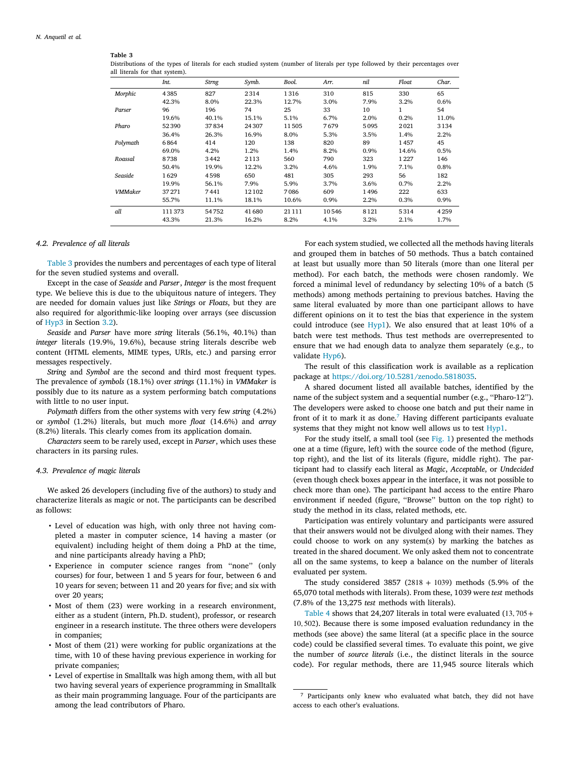### <span id="page-6-2"></span>**Table 3**

Distributions of the types of literals for each studied system (number of literals per type followed by their percentages over all literals for that system).

|                | Int.    | Strng | Symb.   | Bool.   | Arr.    | nil  | Float | Char.   |
|----------------|---------|-------|---------|---------|---------|------|-------|---------|
| Morphic        | 4385    | 827   | 2314    | 1316    | 310     | 815  | 330   | 65      |
|                | 42.3%   | 8.0%  | 22.3%   | 12.7%   | 3.0%    | 7.9% | 3.2%  | 0.6%    |
| Parser         | 96      | 196   | 74      | 25      | 33      | 10   | 1     | 54      |
|                | 19.6%   | 40.1% | 15.1%   | 5.1%    | 6.7%    | 2.0% | 0.2%  | 11.0%   |
| Pharo          | 52390   | 37834 | 24 30 7 | 11505   | 7679    | 5095 | 2021  | 3134    |
|                | 36.4%   | 26.3% | 16.9%   | 8.0%    | 5.3%    | 3.5% | 1.4%  | 2.2%    |
| Polymath       | 6864    | 414   | 120     | 138     | 820     | 89   | 1457  | 45      |
|                | 69.0%   | 4.2%  | 1.2%    | 1.4%    | 8.2%    | 0.9% | 14.6% | 0.5%    |
| Roassal        | 8738    | 3442  | 2113    | 560     | 790     | 323  | 1227  | 146     |
|                | 50.4%   | 19.9% | 12.2%   | 3.2%    | 4.6%    | 1.9% | 7.1%  | 0.8%    |
| Seaside        | 1629    | 4598  | 650     | 481     | 305     | 293  | 56    | 182     |
|                | 19.9%   | 56.1% | 7.9%    | 5.9%    | 3.7%    | 3.6% | 0.7%  | 2.2%    |
| <b>VMMaker</b> | 37 27 1 | 7441  | 12102   | 7086    | 609     | 1496 | 222   | 633     |
|                | 55.7%   | 11.1% | 18.1%   | 10.6%   | $0.9\%$ | 2.2% | 0.3%  | $0.9\%$ |
| all            | 111 373 | 54752 | 41680   | 21 1 11 | 10546   | 8121 | 5314  | 4259    |
|                | 43.3%   | 21.3% | 16.2%   | 8.2%    | 4.1%    | 3.2% | 2.1%  | 1.7%    |

### *4.2. Prevalence of all literals*

<span id="page-6-0"></span>[Table](#page-6-2) [3](#page-6-2) provides the numbers and percentages of each type of literal for the seven studied systems and overall.

Except in the case of *Seaside* and *Parser*, *Integer* is the most frequent type. We believe this is due to the ubiquitous nature of integers. They are needed for domain values just like *Strings* or *Floats*, but they are also required for algorithmic-like looping over arrays (see discussion of [Hyp3](#page-4-4) in Section [3.2](#page-3-1)).

*Seaside* and *Parser* have more *string* literals (56.1%, 40.1%) than *integer* literals (19.9%, 19.6%), because string literals describe web content (HTML elements, MIME types, URIs, etc.) and parsing error messages respectively.

*String* and *Symbol* are the second and third most frequent types. The prevalence of *symbols* (18.1%) over *strings* (11.1%) in *VMMaker* is possibly due to its nature as a system performing batch computations with little to no user input.

*Polymath* differs from the other systems with very few *string* (4.2%) or *symbol* (1.2%) literals, but much more *float* (14.6%) and *array* (8.2%) literals. This clearly comes from its application domain.

*Characters* seem to be rarely used, except in *Parser*, which uses these characters in its parsing rules.

#### *4.3. Prevalence of magic literals*

<span id="page-6-1"></span>We asked 26 developers (including five of the authors) to study and characterize literals as magic or not. The participants can be described as follows:

- Level of education was high, with only three not having completed a master in computer science, 14 having a master (or equivalent) including height of them doing a PhD at the time, and nine participants already having a PhD;
- Experience in computer science ranges from ''none'' (only courses) for four, between 1 and 5 years for four, between 6 and 10 years for seven; between 11 and 20 years for five; and six with over 20 years;
- Most of them (23) were working in a research environment, either as a student (intern, Ph.D. student), professor, or research engineer in a research institute. The three others were developers in companies;
- Most of them (21) were working for public organizations at the time, with 10 of these having previous experience in working for private companies;
- Level of expertise in Smalltalk was high among them, with all but two having several years of experience programming in Smalltalk as their main programming language. Four of the participants are among the lead contributors of Pharo.

For each system studied, we collected all the methods having literals and grouped them in batches of 50 methods. Thus a batch contained at least but usually more than 50 literals (more than one literal per method). For each batch, the methods were chosen randomly. We forced a minimal level of redundancy by selecting 10% of a batch (5 methods) among methods pertaining to previous batches. Having the same literal evaluated by more than one participant allows to have different opinions on it to test the bias that experience in the system could introduce (see [Hyp1\)](#page-2-3). We also ensured that at least 10% of a batch were test methods. Thus test methods are overrepresented to ensure that we had enough data to analyze them separately (e.g., to validate [Hyp6\)](#page-5-3).

The result of this classification work is available as a replication package at [https://doi.org/10.5281/zenodo.5818035.](https://doi.org/10.5281/zenodo.5818035)

A shared document listed all available batches, identified by the name of the subject system and a sequential number (e.g., ''Pharo-12''). The developers were asked to choose one batch and put their name in front of it to mark it as done.[7](#page-6-3) Having different participants evaluate systems that they might not know well allows us to test [Hyp1.](#page-2-3)

<span id="page-6-3"></span>For the study itself, a small tool (see [Fig.](#page-7-0) [1\)](#page-7-0) presented the methods one at a time (figure, left) with the source code of the method (figure, top right), and the list of its literals (figure, middle right). The participant had to classify each literal as *Magic*, *Acceptable*, or *Undecided* (even though check boxes appear in the interface, it was not possible to check more than one). The participant had access to the entire Pharo environment if needed (figure, ''Browse'' button on the top right) to study the method in its class, related methods, etc.

Participation was entirely voluntary and participants were assured that their answers would not be divulged along with their names. They could choose to work on any system(s) by marking the batches as treated in the shared document. We only asked them not to concentrate all on the same systems, to keep a balance on the number of literals evaluated per system.

The study considered  $3857$  ( $2818 + 1039$ ) methods (5.9% of the 65,070 total methods with literals). From these, 1039 were *test* methods (7.8% of the 13,275 *test* methods with literals).

[Table](#page-7-1) [4](#page-7-1) shows that 24,207 literals in total were evaluated (13*,* 705+ 10*,* 502). Because there is some imposed evaluation redundancy in the methods (see above) the same literal (at a specific place in the source code) could be classified several times. To evaluate this point, we give the number of *source literals* (i.e., the distinct literals in the source code). For regular methods, there are 11,945 source literals which

<sup>7</sup> Participants only knew who evaluated what batch, they did not have access to each other's evaluations.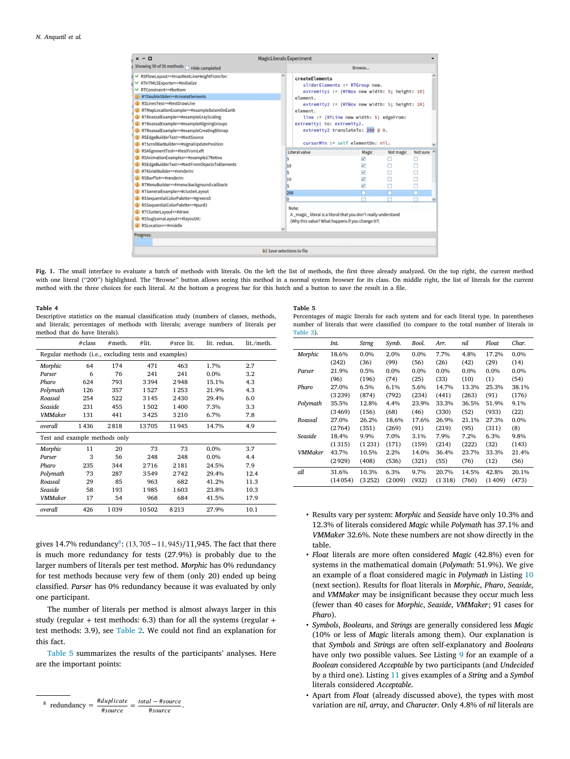

<span id="page-7-0"></span>Fig. 1. The small interface to evaluate a batch of methods with literals. On the left the list of methods, the first three already analyzed. On the top right, the current method with one literal (''200'') highlighted. The ''Browse'' button allows seeing this method in a normal system browser for its class. On middle right, the list of literals for the current method with the three choices for each literal. At the bottom a progress bar for this batch and a button to save the result in a file.

#### **Table 4**

<span id="page-7-1"></span>Descriptive statistics on the manual classification study (numbers of classes, methods, and literals; percentages of methods with literals; average numbers of literals per method that do have literals).

|                                                      | #class | $#$ meth. | #lit. | #srce lit. | lit. redun. | lit./meth. |  |
|------------------------------------------------------|--------|-----------|-------|------------|-------------|------------|--|
| Regular methods (i.e., excluding tests and examples) |        |           |       |            |             |            |  |
| Morphic                                              | 64     | 174       | 471   | 463        | 1.7%        | 2.7        |  |
| Parser                                               | 6      | 76        | 241   | 241        | $0.0\%$     | 3.2        |  |
| Pharo                                                | 624    | 793       | 3394  | 2948       | 15.1%       | 4.3        |  |
| Polymath                                             | 126    | 357       | 1527  | 1253       | 21.9%       | 4.3        |  |
| Roassal                                              | 254    | 522       | 3145  | 2430       | 29.4%       | 6.0        |  |
| Seaside                                              | 231    | 455       | 1502  | 1400       | 7.3%        | 3.3        |  |
| <b>VMMaker</b>                                       | 131    | 441       | 3425  | 3210       | 6.7%        | 7.8        |  |
| overall                                              | 1436   | 2818      | 13705 | 11945      | 14.7%       | 4.9        |  |
| Test and example methods only                        |        |           |       |            |             |            |  |
| Morphic                                              | 11     | 20        | 73    | 73         | 0.0%        | 3.7        |  |
| Parser                                               | 3      | 56        | 248   | 248        | 0.0%        | 4.4        |  |
| Pharo                                                | 235    | 344       | 2716  | 2181       | 24.5%       | 7.9        |  |
| Polymath                                             | 73     | 287       | 3549  | 2742       | 29.4%       | 12.4       |  |
| Roassal                                              | 29     | 85        | 963   | 682        | 41.2%       | 11.3       |  |
| Seaside                                              | 58     | 193       | 1985  | 1603       | 23.8%       | 10.3       |  |
| <b>VMMaker</b>                                       | 17     | 54        | 968   | 684        | 41.5%       | 17.9       |  |
| overall                                              | 426    | 1039      | 10502 | 8213       | 27.9%       | 10.1       |  |

<span id="page-7-2"></span>gives 14.7% redundancy<sup>[8](#page-7-2)</sup>: (13, 705 – 11, 945)/11,945. The fact that there is much more redundancy for tests (27.9%) is probably due to the larger numbers of literals per test method. *Morphic* has 0% redundancy for test methods because very few of them (only 20) ended up being classified. *Parser* has 0% redundancy because it was evaluated by only one participant.

The number of literals per method is almost always larger in this study (regular + test methods: 6.3) than for all the systems (regular + test methods: 3.9), see [Table](#page-5-2) [2.](#page-5-2) We could not find an explanation for this fact.

[Table](#page-7-3) [5](#page-7-3) summarizes the results of the participants' analyses. Here are the important points:



#### **Table 5**

Percentages of magic literals for each system and for each literal type. In parentheses number of literals that were classified (to compare to the total number of literals in [Table](#page-6-2) [3](#page-6-2)).

<span id="page-7-3"></span>

|          | Int.    | Strng   | Symb.  | Bool.   | Arr.    | nil     | Float   | Char.   |
|----------|---------|---------|--------|---------|---------|---------|---------|---------|
| Morphic  | 18.6%   | $0.0\%$ | 2.0%   | $0.0\%$ | 7.7%    | 4.8%    | 17.2%   | 0.0%    |
|          | (242)   | (36)    | (99)   | (56)    | (26)    | (42)    | (29)    | (14)    |
| Parser   | 21.9%   | 0.5%    | 0.0%   | $0.0\%$ | $0.0\%$ | $0.0\%$ | $0.0\%$ | $0.0\%$ |
|          | (96)    | (196)   | (74)   | (25)    | (33)    | (10)    | (1)     | (54)    |
| Pharo    | 27.0%   | 6.5%    | 6.1%   | 5.6%    | 14.7%   | 13.3%   | 25.3%   | 38.1%   |
|          | (3239)  | (874)   | (792)  | (234)   | (441)   | (263)   | (91)    | (176)   |
| Polymath | 35.5%   | 12.8%   | 4.4%   | 23.9%   | 33.3%   | 36.5%   | 51.9%   | 9.1%    |
|          | (3469)  | (156)   | (68)   | (46)    | (330)   | (52)    | (933)   | (22)    |
| Roassal  | 27.0%   | 26.2%   | 18.6%  | 17.6%   | 26.9%   | 21.1%   | 27.3%   | $0.0\%$ |
|          | (2764)  | (351)   | (269)  | (91)    | (219)   | (95)    | (311)   | (8)     |
| Seaside  | 18.4%   | 9.9%    | 7.0%   | 3.1%    | 7.9%    | 7.2%    | 6.3%    | 9.8%    |
|          | (1315)  | (1231)  | (171)  | (159)   | (214)   | (222)   | (32)    | (143)   |
| VMMaker  | 43.7%   | 10.5%   | 2.2%   | 14.0%   | 36.4%   | 23.7%   | 33.3%   | 21.4%   |
|          | (2929)  | (408)   | (536)  | (321)   | (55)    | (76)    | (12)    | (56)    |
| all      | 31.6%   | 10.3%   | 6.3%   | 9.7%    | 20.7%   | 14.5%   | 42.8%   | 20.1%   |
|          | (14054) | (3252)  | (2009) | (932)   | (1318)  | (760)   | (1409)  | (473)   |

- Results vary per system: *Morphic* and *Seaside* have only 10.3% and 12.3% of literals considered *Magic* while *Polymath* has 37.1% and *VMMaker* 32.6%. Note these numbers are not show directly in the table.
- *Float* literals are more often considered *Magic* (42.8%) even for systems in the mathematical domain (*Polymath*: 51.9%). We give an example of a float considered magic in *Polymath* in Listing [10](#page-8-1) (next section). Results for float literals in *Morphic*, *Pharo*, *Seaside*, and *VMMaker* may be insignificant because they occur much less (fewer than 40 cases for *Morphic*, *Seaside*, *VMMaker*; 91 cases for *Pharo*).
- *Symbols*, *Booleans*, and *Strings* are generally considered less *Magic* (10% or less of *Magic* literals among them). Our explanation is that *Symbols* and *Strings* are often self-explanatory and *Booleans* have only two possible values. See Listing [9](#page-8-2) for an example of a *Boolean* considered *Acceptable* by two participants (and *Undecided* by a third one). Listing [11](#page-9-0) gives examples of a *String* and a *Symbol* literals considered *Acceptable*.
- Apart from *Float* (already discussed above), the types with most variation are *nil*, *array*, and *Character*. Only 4.8% of *nil* literals are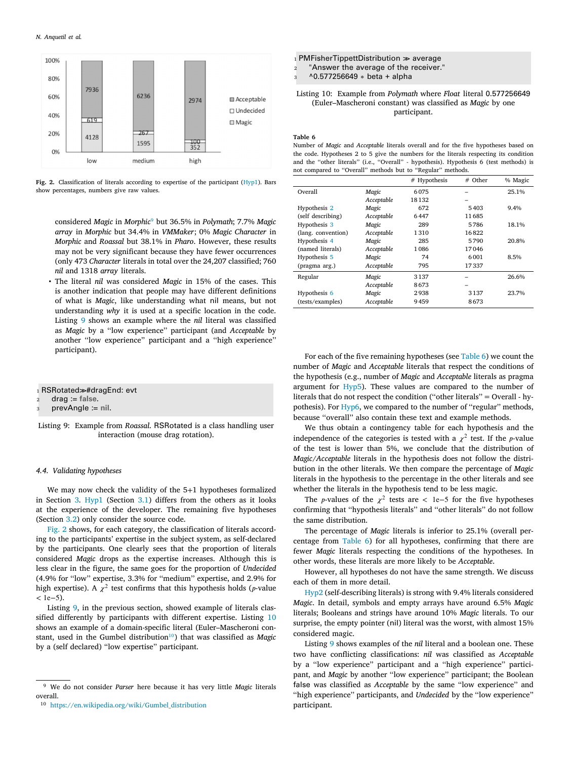

<span id="page-8-4"></span>**Fig. 2.** Classification of literals according to expertise of the participant [\(Hyp1\)](#page-2-3). Bars show percentages, numbers give raw values.

<span id="page-8-3"></span>considered *Magic* in *Morphic*[9](#page-8-3) but 36.5% in *Polymath*; 7.7% *Magic array* in *Morphic* but 34.4% in *VMMaker*; 0% *Magic Character* in *Morphic* and *Roassal* but 38.1% in *Pharo*. However, these results may not be very significant because they have fewer occurrences (only 473 *Character* literals in total over the 24,207 classified; 760 *nil* and 1318 *array* literals.

• The literal *nil* was considered *Magic* in 15% of the cases. This is another indication that people may have different definitions of what is *Magic*, like understanding what nil means, but not understanding *why* it is used at a specific location in the code. Listing [9](#page-8-2) shows an example where the *nil* literal was classified as *Magic* by a ''low experience'' participant (and *Acceptable* by another ''low experience'' participant and a ''high experience'' participant).

### <span id="page-8-2"></span>1 RSRotated>#dragEnd: evt

- <sup>2</sup> drag := **false**.
- <sup>3</sup> prevAngle := **nil**.

Listing 9: Example from *Roassal*. RSRotated is a class handling user interaction (mouse drag rotation).

### *4.4. Validating hypotheses*

<span id="page-8-0"></span>We may now check the validity of the 5+1 hypotheses formalized in Section [3.](#page-2-0) [Hyp1](#page-2-3) (Section [3.1](#page-2-1)) differs from the others as it looks at the experience of the developer. The remaining five hypotheses (Section [3.2](#page-3-1)) only consider the source code.

[Fig.](#page-8-4) [2](#page-8-4) shows, for each category, the classification of literals according to the participants' expertise in the subject system, as self-declared by the participants. One clearly sees that the proportion of literals considered *Magic* drops as the expertise increases. Although this is less clear in the figure, the same goes for the proportion of *Undecided* (4.9% for ''low'' expertise, 3.3% for ''medium'' expertise, and 2.9% for high expertise). A  $\chi^2$  test confirms that this hypothesis holds (p-value *<* 1e−5).

Listing [9,](#page-8-2) in the previous section, showed example of literals classified differently by participants with different expertise. Listing [10](#page-8-1) shows an example of a domain-specific literal (Euler–Mascheroni con-stant, used in the Gumbel distribution<sup>[10](#page-8-5)</sup>) that was classified as *Magic* by a (self declared) ''low expertise'' participant.

<span id="page-8-1"></span> $1$  PMFisherTippettDistribution  $\gg$  average

"Answer the average of the receiver."

<sup>3</sup> ^0.577256649 ∗ beta + alpha

Listing 10: Example from *Polymath* where *Float* literal 0.577256649 (Euler–Mascheroni constant) was classified as *Magic* by one participant.

#### **Table 6**

Number of *Magic* and *Acceptable* literals overall and for the five hypotheses based on the code. Hypotheses 2 to 5 give the numbers for the literals respecting its condition and the ''other literals'' (i.e., ''Overall'' - hypothesis). Hypothesis 6 (test methods) is not compared to ''Overall'' methods but to ''Regular'' methods.

<span id="page-8-6"></span>

|                    |            | # Hypothesis | $#$ Other | % Magic |
|--------------------|------------|--------------|-----------|---------|
| Overall            | Magic      | 6075         |           | 25.1%   |
|                    | Acceptable | 18132        |           |         |
| Hypothesis 2       | Magic      | 672          | 5403      | $9.4\%$ |
| (self describing)  | Acceptable | 6447         | 11685     |         |
| Hypothesis 3       | Magic      | 289          | 5786      | 18.1%   |
| (lang. convention) | Acceptable | 1310         | 16822     |         |
| Hypothesis 4       | Magic      | 285          | 5790      | 20.8%   |
| (named literals)   | Acceptable | 1086         | 17046     |         |
| Hypothesis 5       | Magic      | 74           | 6001      | 8.5%    |
| (pragma arg.)      | Acceptable | 795          | 17337     |         |
| Regular            | Magic      | 3137         |           | 26.6%   |
|                    | Acceptable | 8673         |           |         |
| Hypothesis 6       | Magic      | 2938         | 3137      | 23.7%   |
| (tests/examples)   | Acceptable | 9459         | 8673      |         |

For each of the five remaining hypotheses (see [Table](#page-8-6) [6\)](#page-8-6) we count the number of *Magic* and *Acceptable* literals that respect the conditions of the hypothesis (e.g., number of *Magic* and *Acceptable* literals as pragma argument for [Hyp5\)](#page-4-6). These values are compared to the number of literals that do not respect the condition (''other literals'' = Overall - hypothesis). For [Hyp6,](#page-5-3) we compared to the number of ''regular'' methods, because ''overall'' also contain these text and example methods.

We thus obtain a contingency table for each hypothesis and the independence of the categories is tested with a  $\chi^2$  test. If the *p*-value of the test is lower than 5%, we conclude that the distribution of *Magic*/*Acceptable* literals in the hypothesis does not follow the distribution in the other literals. We then compare the percentage of *Magic* literals in the hypothesis to the percentage in the other literals and see whether the literals in the hypothesis tend to be less magic.

The *p*-values of the  $\chi^2$  tests are < 1e−5 for the five hypotheses confirming that ''hypothesis literals'' and ''other literals'' do not follow the same distribution.

The percentage of *Magic* literals is inferior to 25.1% (overall percentage from [Table](#page-8-6) [6\)](#page-8-6) for all hypotheses, confirming that there are fewer *Magic* literals respecting the conditions of the hypotheses. In other words, these literals are more likely to be *Acceptable*.

However, all hypotheses do not have the same strength. We discuss each of them in more detail.

[Hyp2](#page-3-5) (self-describing literals) is strong with 9.4% literals considered *Magic*. In detail, symbols and empty arrays have around 6.5% *Magic* literals; Booleans and strings have around 10% *Magic* literals. To our surprise, the empty pointer (nil) literal was the worst, with almost 15% considered magic.

<span id="page-8-5"></span>Listing [9](#page-8-2) shows examples of the *nil* literal and a boolean one. These two have conflicting classifications: *nil* was classified as *Acceptable* by a ''low experience'' participant and a ''high experience'' participant, and *Magic* by another ''low experience'' participant; the Boolean false was classified as *Acceptable* by the same ''low experience'' and ''high experience'' participants, and *Undecided* by the ''low experience'' participant.

<sup>9</sup> We do not consider *Parser* here because it has very little *Magic* literals overall.

<sup>10</sup> [https://en.wikipedia.org/wiki/Gumbel\\_distribution](https://en.wikipedia.org/wiki/Gumbel_distribution)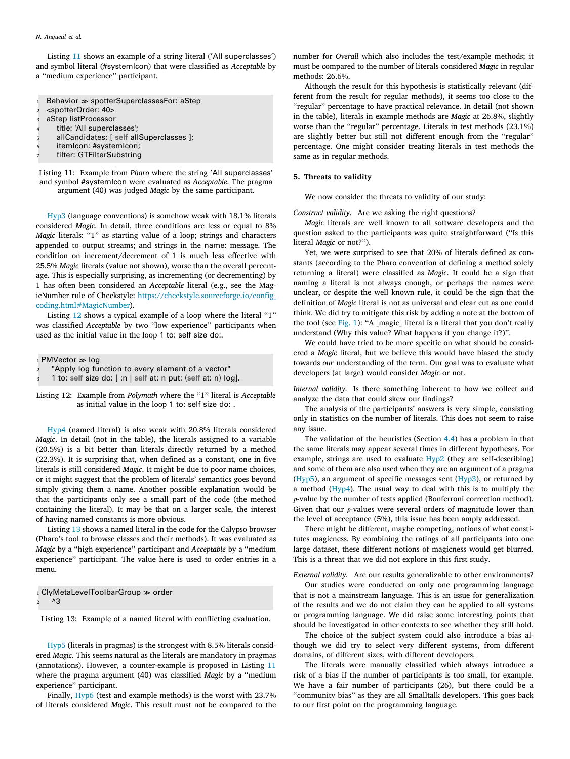Listing [11](#page-9-0) shows an example of a string literal ('All superclasses') and symbol literal (#systemIcon) that were classified as *Acceptable* by a ''medium experience'' participant.

- <span id="page-9-0"></span>1 Behavior  $\gg$  spotterSuperclassesFor: aStep
- <sup>2</sup> <spotterOrder: 40>
- <sup>3</sup> aStep listProcessor
- title: 'All superclasses';
- <sup>5</sup> allCandidates: [ **self** allSuperclasses ];
- itemIcon: #systemIcon;
- filter: GTFilterSubstring

Listing 11: Example from *Pharo* where the string 'All superclasses' and symbol #systemIcon were evaluated as *Acceptable*. The pragma argument (40) was judged *Magic* by the same participant.

[Hyp3](#page-4-4) (language conventions) is somehow weak with 18.1% literals considered *Magic*. In detail, three conditions are less or equal to 8% *Magic* literals: "1" as starting value of a loop; strings and characters appended to output streams; and strings in the name: message. The condition on increment/decrement of 1 is much less effective with 25.5% *Magic* literals (value not shown), worse than the overall percentage. This is especially surprising, as incrementing (or decrementing) by 1 has often been considered an *Acceptable* literal (e.g., see the MagicNumber rule of Checkstyle: [https://checkstyle.sourceforge.io/config\\_](https://checkstyle.sourceforge.io/config_coding.html#MagicNumber) [coding.html#MagicNumber\)](https://checkstyle.sourceforge.io/config_coding.html#MagicNumber).

Listing [12](#page-9-1) shows a typical example of a loop where the literal "1" was classified *Acceptable* by two ''low experience'' participants when used as the initial value in the loop 1 to: self size do:.

<span id="page-9-1"></span> $1$  PMVector  $\gg$  log

- "Apply log function to every element of a vector"
- <sup>3</sup> 1 to: **self** size do: [ :n | **self** at: n put: (**self** at: n) log].

Listing 12: Example from *Polymath* where the "1" literal is *Acceptable* as initial value in the loop 1 to: self size do: .

[Hyp4](#page-4-5) (named literal) is also weak with 20.8% literals considered *Magic*. In detail (not in the table), the literals assigned to a variable (20.5%) is a bit better than literals directly returned by a method (22.3%). It is surprising that, when defined as a constant, one in five literals is still considered *Magic*. It might be due to poor name choices, or it might suggest that the problem of literals' semantics goes beyond simply giving them a name. Another possible explanation would be that the participants only see a small part of the code (the method containing the literal). It may be that on a larger scale, the interest of having named constants is more obvious.

Listing [13](#page-9-2) shows a named literal in the code for the Calypso browser (Pharo's tool to browse classes and their methods). It was evaluated as *Magic* by a ''high experience'' participant and *Acceptable* by a ''medium experience'' participant. The value here is used to order entries in a menu.

<span id="page-9-2"></span> $1$  ClyMetaLevelToolbarGroup  $\gg$  order  $^{\wedge}3$ 

Listing 13: Example of a named literal with conflicting evaluation.

[Hyp5](#page-4-6) (literals in pragmas) is the strongest with 8.5% literals considered *Magic*. This seems natural as the literals are mandatory in pragmas (annotations). However, a counter-example is proposed in Listing [11](#page-9-0) where the pragma argument (40) was classified *Magic* by a ''medium experience'' participant.

Finally, [Hyp6](#page-5-3) (test and example methods) is the worst with 23.7% of literals considered *Magic*. This result must not be compared to the number for *Overall* which also includes the test/example methods; it must be compared to the number of literals considered *Magic* in regular methods: 26.6%.

Although the result for this hypothesis is statistically relevant (different from the result for regular methods), it seems too close to the ''regular'' percentage to have practical relevance. In detail (not shown in the table), literals in example methods are *Magic* at 26.8%, slightly worse than the "regular" percentage. Literals in test methods (23.1%) are slightly better but still not different enough from the ''regular'' percentage. One might consider treating literals in test methods the same as in regular methods.

### **5. Threats to validity**

We now consider the threats to validity of our study:

*Construct validity.* Are we asking the right questions?

*Magic* literals are well known to all software developers and the question asked to the participants was quite straightforward (''Is this literal *Magic* or not?'').

Yet, we were surprised to see that 20% of literals defined as constants (according to the Pharo convention of defining a method solely returning a literal) were classified as *Magic*. It could be a sign that naming a literal is not always enough, or perhaps the names were unclear, or despite the well known rule, it could be the sign that the definition of *Magic* literal is not as universal and clear cut as one could think. We did try to mitigate this risk by adding a note at the bottom of the tool (see [Fig.](#page-7-0) [1\)](#page-7-0): "A \_magic\_ literal is a literal that you don't really understand (Why this value? What happens if you change it?)''.

We could have tried to be more specific on what should be considered a *Magic* literal, but we believe this would have biased the study towards *our* understanding of the term. Our goal was to evaluate what developers (at large) would consider *Magic* or not.

*Internal validity.* Is there something inherent to how we collect and analyze the data that could skew our findings?

The analysis of the participants' answers is very simple, consisting only in statistics on the number of literals. This does not seem to raise any issue.

The validation of the heuristics (Section [4.4](#page-8-0)) has a problem in that the same literals may appear several times in different hypotheses. For example, strings are used to evaluate  $Hyp2$  (they are self-describing) and some of them are also used when they are an argument of a pragma ([Hyp5\)](#page-4-6), an argument of specific messages sent ([Hyp3\)](#page-4-4), or returned by a method ([Hyp4\)](#page-4-5). The usual way to deal with this is to multiply the p-value by the number of tests applied (Bonferroni correction method). Given that our  $p$ -values were several orders of magnitude lower than the level of acceptance (5%), this issue has been amply addressed.

There might be different, maybe competing, notions of what constitutes magicness. By combining the ratings of all participants into one large dataset, these different notions of magicness would get blurred. This is a threat that we did not explore in this first study.

*External validity.* Are our results generalizable to other environments?

Our studies were conducted on only one programming language that is not a mainstream language. This is an issue for generalization of the results and we do not claim they can be applied to all systems or programming language. We did raise some interesting points that should be investigated in other contexts to see whether they still hold.

The choice of the subject system could also introduce a bias although we did try to select very different systems, from different domains, of different sizes, with different developers.

The literals were manually classified which always introduce a risk of a bias if the number of participants is too small, for example. We have a fair number of participants (26), but there could be a ''community bias'' as they are all Smalltalk developers. This goes back to our first point on the programming language.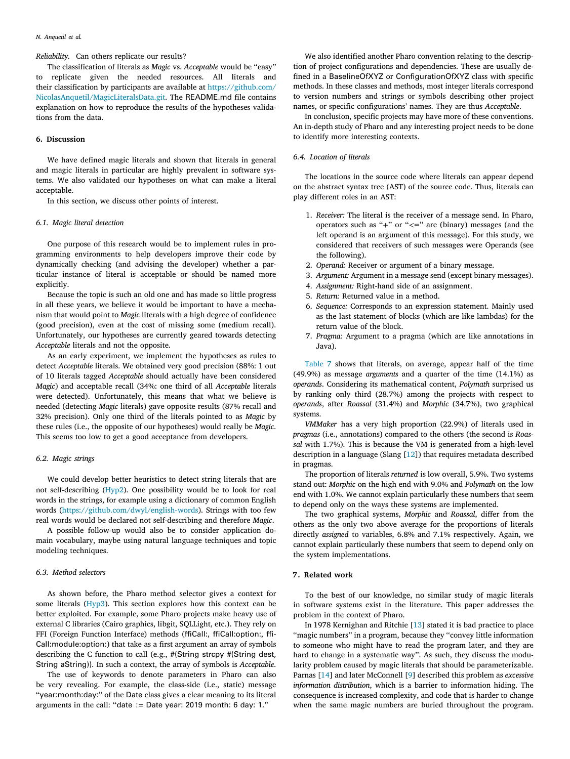*Reliability.* Can others replicate our results?

The classification of literals as *Magic* vs. *Acceptable* would be ''easy'' to replicate given the needed resources. All literals and their classification by participants are available at [https://github.com/](https://github.com/NicolasAnquetil/MagicLiteralsData.git) [NicolasAnquetil/MagicLiteralsData.git.](https://github.com/NicolasAnquetil/MagicLiteralsData.git) The README.md file contains explanation on how to reproduce the results of the hypotheses validations from the data.

## **6. Discussion**

<span id="page-10-0"></span>We have defined magic literals and shown that literals in general and magic literals in particular are highly prevalent in software systems. We also validated our hypotheses on what can make a literal acceptable.

In this section, we discuss other points of interest.

#### *6.1. Magic literal detection*

<span id="page-10-3"></span>One purpose of this research would be to implement rules in programming environments to help developers improve their code by dynamically checking (and advising the developer) whether a particular instance of literal is acceptable or should be named more explicitly.

Because the topic is such an old one and has made so little progress in all these years, we believe it would be important to have a mechanism that would point to *Magic* literals with a high degree of confidence (good precision), even at the cost of missing some (medium recall). Unfortunately, our hypotheses are currently geared towards detecting *Acceptable* literals and not the opposite.

As an early experiment, we implement the hypotheses as rules to detect *Acceptable* literals. We obtained very good precision (88%: 1 out of 10 literals tagged *Acceptable* should actually have been considered *Magic*) and acceptable recall (34%: one third of all *Acceptable* literals were detected). Unfortunately, this means that what we believe is needed (detecting *Magic* literals) gave opposite results (87% recall and 32% precision). Only one third of the literals pointed to as *Magic* by these rules (i.e., the opposite of our hypotheses) would really be *Magic*. This seems too low to get a good acceptance from developers.

### *6.2. Magic strings*

We could develop better heuristics to detect string literals that are not self-describing ([Hyp2](#page-3-5)). One possibility would be to look for real words in the strings, for example using a dictionary of common English words (<https://github.com/dwyl/english-words>). Strings with too few real words would be declared not self-describing and therefore *Magic*.

A possible follow-up would also be to consider application domain vocabulary, maybe using natural language techniques and topic modeling techniques.

### *6.3. Method selectors*

As shown before, the Pharo method selector gives a context for some literals [\(Hyp3\)](#page-4-4). This section explores how this context can be better exploited. For example, some Pharo projects make heavy use of external C libraries (Cairo graphics, libgit, SQLLight, etc.). They rely on FFI (Foreign Function Interface) methods (ffiCall:, ffiCall:option:, ffi-Call:module:option:) that take as a first argument an array of symbols describing the C function to call (e.g., #(String strcpy #(String dest, String aString)). In such a context, the array of symbols is *Acceptable*.

The use of keywords to denote parameters in Pharo can also be very revealing. For example, the class-side (i.e., static) message ''year:month:day:'' of the Date class gives a clear meaning to its literal arguments in the call: ''date ∶= Date year: 2019 month: 6 day: 1.''

We also identified another Pharo convention relating to the description of project configurations and dependencies. These are usually defined in a BaselineOfXYZ or ConfigurationOfXYZ class with specific methods. In these classes and methods, most integer literals correspond to version numbers and strings or symbols describing other project names, or specific configurations' names. They are thus *Acceptable*.

In conclusion, specific projects may have more of these conventions. An in-depth study of Pharo and any interesting project needs to be done to identify more interesting contexts.

### *6.4. Location of literals*

<span id="page-10-2"></span>The locations in the source code where literals can appear depend on the abstract syntax tree (AST) of the source code. Thus, literals can play different roles in an AST:

- 1. *Receiver:* The literal is the receiver of a message send. In Pharo, operators such as ''+'' or ''*<*='' are (binary) messages (and the left operand is an argument of this message). For this study, we considered that receivers of such messages were Operands (see the following).
- 2. *Operand:* Receiver or argument of a binary message.
- 3. *Argument:* Argument in a message send (except binary messages).
- 4. *Assignment:* Right-hand side of an assignment.
- 5. *Return:* Returned value in a method.
- 6. *Sequence:* Corresponds to an expression statement. Mainly used as the last statement of blocks (which are like lambdas) for the return value of the block.
- 7. *Pragma:* Argument to a pragma (which are like annotations in Java).

[Table](#page-11-0) [7](#page-11-0) shows that literals, on average, appear half of the time (49.9%) as message *arguments* and a quarter of the time (14.1%) as *operands*. Considering its mathematical content, *Polymath* surprised us by ranking only third (28.7%) among the projects with respect to *operands*, after *Roassal* (31.4%) and *Morphic* (34.7%), two graphical systems.

*VMMaker* has a very high proportion (22.9%) of literals used in *pragmas* (i.e., annotations) compared to the others (the second is *Roassal* with 1.7%). This is because the VM is generated from a high-level description in a language (Slang [[12\]](#page-13-3)) that requires metadata described in pragmas.

The proportion of literals *returned* is low overall, 5.9%. Two systems stand out: *Morphic* on the high end with 9.0% and *Polymath* on the low end with 1.0%. We cannot explain particularly these numbers that seem to depend only on the ways these systems are implemented.

The two graphical systems, *Morphic* and *Roassal*, differ from the others as the only two above average for the proportions of literals directly *assigned* to variables, 6.8% and 7.1% respectively. Again, we cannot explain particularly these numbers that seem to depend only on the system implementations.

### **7. Related work**

<span id="page-10-1"></span>To the best of our knowledge, no similar study of magic literals in software systems exist in the literature. This paper addresses the problem in the context of Pharo.

In 1978 Kernighan and Ritchie [[13\]](#page-13-4) stated it is bad practice to place ''magic numbers'' in a program, because they ''convey little information to someone who might have to read the program later, and they are hard to change in a systematic way''. As such, they discuss the modularity problem caused by magic literals that should be parameterizable. Parnas [[14\]](#page-13-5) and later McConnell [[9\]](#page-13-0) described this problem as *excessive information distribution*, which is a barrier to information hiding. The consequence is increased complexity, and code that is harder to change when the same magic numbers are buried throughout the program.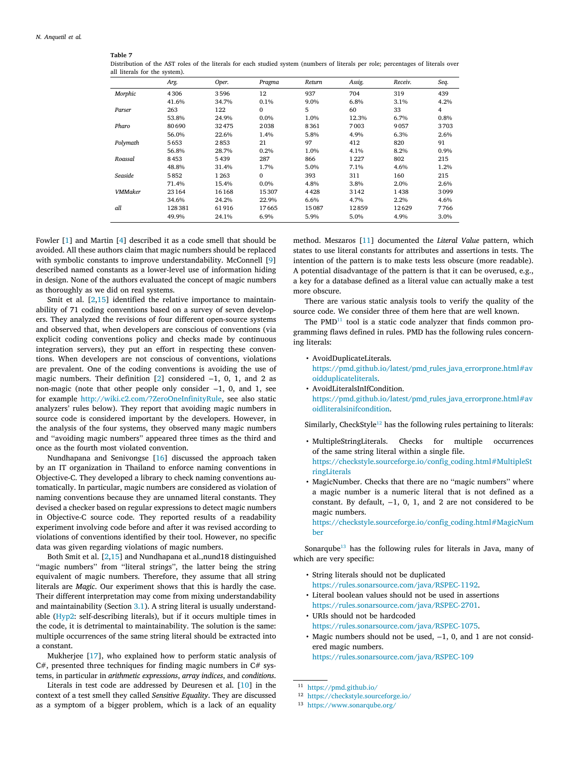### **Table 7**

<span id="page-11-0"></span>Distribution of the AST roles of the literals for each studied system (numbers of literals per role; percentages of literals over all literals for the system).

|                | Arg.   | Oper. | Pragma       | Return | Assig. | Receiv. | Seq. |
|----------------|--------|-------|--------------|--------|--------|---------|------|
| Morphic        | 4306   | 3596  | 12           | 937    | 704    | 319     | 439  |
|                | 41.6%  | 34.7% | 0.1%         | 9.0%   | 6.8%   | 3.1%    | 4.2% |
| Parser         | 263    | 122   | 0            | 5      | 60     | 33      | 4    |
|                | 53.8%  | 24.9% | 0.0%         | 1.0%   | 12.3%  | 6.7%    | 0.8% |
| Pharo          | 80690  | 32475 | 2038         | 8361   | 7003   | 9057    | 3703 |
|                | 56.0%  | 22.6% | 1.4%         | 5.8%   | 4.9%   | 6.3%    | 2.6% |
| Polymath       | 5653   | 2853  | 21           | 97     | 412    | 820     | 91   |
|                | 56.8%  | 28.7% | 0.2%         | 1.0%   | 4.1%   | 8.2%    | 0.9% |
| Roassal        | 8453   | 5439  | 287          | 866    | 1227   | 802     | 215  |
|                | 48.8%  | 31.4% | 1.7%         | 5.0%   | 7.1%   | 4.6%    | 1.2% |
| Seaside        | 5852   | 1263  | $\mathbf{0}$ | 393    | 311    | 160     | 215  |
|                | 71.4%  | 15.4% | $0.0\%$      | 4.8%   | 3.8%   | 2.0%    | 2.6% |
| <b>VMMaker</b> | 23164  | 16168 | 15307        | 4428   | 3142   | 1438    | 3099 |
|                | 34.6%  | 24.2% | 22.9%        | 6.6%   | 4.7%   | 2.2%    | 4.6% |
| all            | 128381 | 61916 | 17665        | 15087  | 12859  | 12629   | 7766 |
|                | 49.9%  | 24.1% | 6.9%         | 5.9%   | 5.0%   | 4.9%    | 3.0% |

Fowler [\[1\]](#page-12-0) and Martin [[4\]](#page-12-3) described it as a code smell that should be avoided. All these authors claim that magic numbers should be replaced with symbolic constants to improve understandability. McConnell [[9](#page-13-0)] described named constants as a lower-level use of information hiding in design. None of the authors evaluated the concept of magic numbers as thoroughly as we did on real systems.

Smit et al. [\[2,](#page-12-1)[15\]](#page-13-6) identified the relative importance to maintainability of 71 coding conventions based on a survey of seven developers. They analyzed the revisions of four different open-source systems and observed that, when developers are conscious of conventions (via explicit coding conventions policy and checks made by continuous integration servers), they put an effort in respecting these conventions. When developers are not conscious of conventions, violations are prevalent. One of the coding conventions is avoiding the use of magic numbers. Their definition [[2\]](#page-12-1) considered −1, 0, 1, and 2 as non-magic (note that other people only consider −1, 0, and 1, see for example [http://wiki.c2.com/?ZeroOneInfinityRule,](http://wiki.c2.com/?ZeroOneInfinityRule) see also static analyzers' rules below). They report that avoiding magic numbers in source code is considered important by the developers. However, in the analysis of the four systems, they observed many magic numbers and ''avoiding magic numbers'' appeared three times as the third and once as the fourth most violated convention.

Nundhapana and Senivongse [[16\]](#page-13-7) discussed the approach taken by an IT organization in Thailand to enforce naming conventions in Objective-C. They developed a library to check naming conventions automatically. In particular, magic numbers are considered as violation of naming conventions because they are unnamed literal constants. They devised a checker based on regular expressions to detect magic numbers in Objective-C source code. They reported results of a readability experiment involving code before and after it was revised according to violations of conventions identified by their tool. However, no specific data was given regarding violations of magic numbers.

Both Smit et al. [\[2,](#page-12-1)[15\]](#page-13-6) and Nundhapana et al.,nund18 distinguished "magic numbers" from "literal strings", the latter being the string equivalent of magic numbers. Therefore, they assume that all string literals are *Magic*. Our experiment shows that this is hardly the case. Their different interpretation may come from mixing understandability and maintainability (Section [3.1](#page-2-1)). A string literal is usually understandable ([Hyp2:](#page-3-5) self-describing literals), but if it occurs multiple times in the code, it is detrimental to maintainability. The solution is the same: multiple occurrences of the same string literal should be extracted into a constant.

Mukherjee [[17\]](#page-13-8), who explained how to perform static analysis of  $C#$ , presented three techniques for finding magic numbers in  $C#$  systems, in particular in *arithmetic expressions*, *array indices*, and *conditions*.

Literals in test code are addressed by Deuresen et al. [\[10](#page-13-1)] in the context of a test smell they called *Sensitive Equality*. They are discussed as a symptom of a bigger problem, which is a lack of an equality

method. Meszaros [[11\]](#page-13-2) documented the *Literal Value* pattern, which states to use literal constants for attributes and assertions in tests. The intention of the pattern is to make tests less obscure (more readable). A potential disadvantage of the pattern is that it can be overused, e.g., a key for a database defined as a literal value can actually make a test more obscure.

There are various static analysis tools to verify the quality of the source code. We consider three of them here that are well known.

<span id="page-11-1"></span>The  $PMD<sup>11</sup>$  $PMD<sup>11</sup>$  $PMD<sup>11</sup>$  tool is a static code analyzer that finds common programming flaws defined in rules. PMD has the following rules concerning literals:

• AvoidDuplicateLiterals.

[https://pmd.github.io/latest/pmd\\_rules\\_java\\_errorprone.html#av](https://pmd.github.io/latest/pmd_rules_java_errorprone.html#avoidduplicateliterals) [oidduplicateliterals.](https://pmd.github.io/latest/pmd_rules_java_errorprone.html#avoidduplicateliterals)

• AvoidLiteralsInIfCondition. [https://pmd.github.io/latest/pmd\\_rules\\_java\\_errorprone.html#av](https://pmd.github.io/latest/pmd_rules_java_errorprone.html#avoidliteralsinifcondition) [oidliteralsinifcondition](https://pmd.github.io/latest/pmd_rules_java_errorprone.html#avoidliteralsinifcondition).

<span id="page-11-2"></span>Similarly, CheckStyle<sup>[12](#page-11-2)</sup> has the following rules pertaining to literals:

- MultipleStringLiterals. Checks for multiple occurrences of the same string literal within a single file. [https://checkstyle.sourceforge.io/config\\_coding.html#MultipleSt](https://checkstyle.sourceforge.io/config_coding.html#MultipleStringLiterals) [ringLiterals](https://checkstyle.sourceforge.io/config_coding.html#MultipleStringLiterals)
- MagicNumber. Checks that there are no ''magic numbers'' where a magic number is a numeric literal that is not defined as a constant. By default, −1, 0, 1, and 2 are not considered to be magic numbers.

[https://checkstyle.sourceforge.io/config\\_coding.html#MagicNum](https://checkstyle.sourceforge.io/config_coding.html#MagicNumber) [ber](https://checkstyle.sourceforge.io/config_coding.html#MagicNumber)

Sonarqube<sup>[13](#page-11-3)</sup> has the following rules for literals in Java, many of which are very specific:

- <span id="page-11-3"></span>• String literals should not be duplicated [https://rules.sonarsource.com/java/RSPEC-1192.](https://rules.sonarsource.com/java/RSPEC-1192)
- Literal boolean values should not be used in assertions [https://rules.sonarsource.com/java/RSPEC-2701.](https://rules.sonarsource.com/java/RSPEC-2701)
- URIs should not be hardcoded [https://rules.sonarsource.com/java/RSPEC-1075.](https://rules.sonarsource.com/java/RSPEC-1075)
- Magic numbers should not be used, −1, 0, and 1 are not considered magic numbers. <https://rules.sonarsource.com/java/RSPEC-109>

<sup>11</sup> <https://pmd.github.io/>

<sup>12</sup> <https://checkstyle.sourceforge.io/>

<sup>13</sup> <https://www.sonarqube.org/>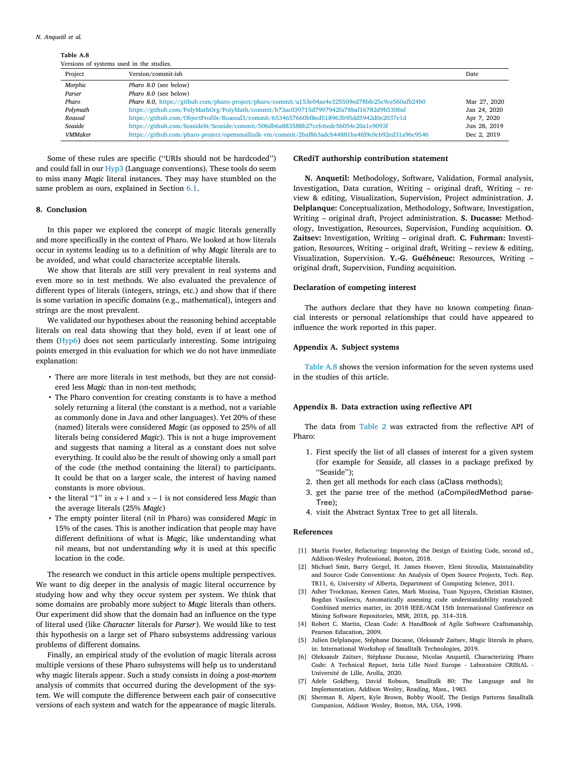**Table A.8**

<span id="page-12-11"></span>

|                | Versions of systems used in the studies.                                                          |              |
|----------------|---------------------------------------------------------------------------------------------------|--------------|
| Project        | Version/commit-ish                                                                                | Date         |
| Morphic        | Pharo 8.0 (see below)                                                                             |              |
| Parser         | Pharo 8.0 (see below)                                                                             |              |
| Pharo          | Pharo 8.0, https://github.com/pharo-project/pharo/commit/a153e04ae4e325509ed78bfe25c9ce560afb24b0 | Mar 27, 2020 |
| Polymath       | https://github.com/PolyMathOrg/PolyMath/commit/b73ac039715d7997942fa78baf16782d9b5300af           | Jan 24, 2020 |
| Roassal        | https://github.com/ObjectProfile/Roassal3/commit/6534657660bf8ed518963b95dd5942d0e2037e1d         | Apr 7, 2020  |
| Seaside        | https://github.com/SeasideSt/Seaside/commit/506db6a883588b27ccfc6edc56054c20a1e9093f              | Jun 28, 2019 |
| <b>VMMaker</b> | https://github.com/pharo-project/opensmalltalk-vm/commit/2baf863adcb44881ba4fd9c0cb92ed31a96c9546 | Dec 2, 2019  |

Some of these rules are specific (''URIs should not be hardcoded'') and could fall in our [Hyp3](#page-4-4) (Language conventions). These tools do seem to miss many *Magic* literal instances. They may have stumbled on the same problem as ours, explained in Section [6.1](#page-10-3).

### **8. Conclusion**

<span id="page-12-4"></span>In this paper we explored the concept of magic literals generally and more specifically in the context of Pharo. We looked at how literals occur in systems leading us to a definition of why *Magic* literals are to be avoided, and what could characterize acceptable literals.

We show that literals are still very prevalent in real systems and even more so in test methods. We also evaluated the prevalence of different types of literals (integers, strings, etc.) and show that if there is some variation in specific domains (e.g., mathematical), integers and strings are the most prevalent.

We validated our hypotheses about the reasoning behind acceptable literals on real data showing that they hold, even if at least one of them ([Hyp6](#page-5-3)) does not seem particularly interesting. Some intriguing points emerged in this evaluation for which we do not have immediate explanation:

- There are more literals in test methods, but they are not considered less *Magic* than in non-test methods;
- The Pharo convention for creating constants is to have a method solely returning a literal (the constant is a method, not a variable as commonly done in Java and other languages). Yet 20% of these (named) literals were considered *Magic* (as opposed to 25% of all literals being considered *Magic*). This is not a huge improvement and suggests that naming a literal as a constant does not solve everything. It could also be the result of showing only a small part of the code (the method containing the literal) to participants. It could be that on a larger scale, the interest of having named constants is more obvious.
- the literal "1" in  $x + 1$  and  $x 1$  is not considered less *Magic* than the average literals (25% *Magic*)
- The empty pointer literal (nil in Pharo) was considered *Magic* in 15% of the cases. This is another indication that people may have different definitions of what is *Magic*, like understanding what nil means, but not understanding *why* it is used at this specific location in the code.

The research we conduct in this article opens multiple perspectives. We want to dig deeper in the analysis of magic literal occurrence by studying how and why they occur system per system. We think that some domains are probably more subject to *Magic* literals than others. Our experiment did show that the domain had an influence on the type of literal used (like *Character* literals for *Parser*). We would like to test this hypothesis on a large set of Pharo subsystems addressing various problems of different domains.

Finally, an empirical study of the evolution of magic literals across multiple versions of these Pharo subsystems will help us to understand why magic literals appear. Such a study consists in doing a *post-mortem* analysis of commits that occurred during the development of the system. We will compute the difference between each pair of consecutive versions of each system and watch for the appearance of magic literals.

#### **CRediT authorship contribution statement**

**N. Anquetil:** Methodology, Software, Validation, Formal analysis, Investigation, Data curation, Writing – original draft, Writing – review & editing, Visualization, Supervision, Project administration. **J. Delplanque:** Conceptualization, Methodology, Software, Investigation, Writing – original draft, Project administration. **S. Ducasse:** Methodology, Investigation, Resources, Supervision, Funding acquisition. **O. Zaitsev:** Investigation, Writing – original draft. **C. Fuhrman:** Investigation, Resources, Writing – original draft, Writing – review & editing, Visualization, Supervision. **Y.-G. Guéhéneuc:** Resources, Writing – original draft, Supervision, Funding acquisition.

### **Declaration of competing interest**

The authors declare that they have no known competing financial interests or personal relationships that could have appeared to influence the work reported in this paper.

### **Appendix A. Subject systems**

<span id="page-12-9"></span>[Table](#page-12-11) [A.8](#page-12-11) shows the version information for the seven systems used in the studies of this article.

#### **Appendix B. Data extraction using reflective API**

<span id="page-12-10"></span>The data from [Table](#page-5-2) [2](#page-5-2) was extracted from the reflective API of Pharo:

- 1. First specify the list of all classes of interest for a given system (for example for *Seaside*, all classes in a package prefixed by ''Seaside'');
- 2. then get all methods for each class (aClass methods);
- 3. get the parse tree of the method (aCompiledMethod parse-Tree);
- 4. visit the Abstract Syntax Tree to get all literals.

### **References**

- <span id="page-12-0"></span>[1] Martin Fowler, Refactoring: Improving the Design of Existing Code, second ed., Addison-Wesley Professional, Boston, 2018.
- <span id="page-12-1"></span>[2] Michael Smit, Barry Gergel, H. James Hoover, Eleni Stroulia, Maintainability and Source Code Conventions: An Analysis of Open Source Projects, Tech. Rep. TR11, 6, University of Alberta, Department of Computing Science, 2011.
- <span id="page-12-2"></span>[3] Asher Trockman, Keenen Cates, Mark Mozina, Tuan Nguyen, Christian Kästner, Bogdan Vasilescu, Automatically assessing code understandability reanalyzed: Combined metrics matter, in: 2018 IEEE/ACM 15th International Conference on Mining Software Repositories, MSR, 2018, pp. 314–318.
- <span id="page-12-3"></span>[4] Robert C. Martin, Clean Code: A HandBook of Agile Software Craftsmanship, Pearson Education, 2009.
- <span id="page-12-5"></span>[5] Julien Delplanque, Stéphane Ducasse, Oleksandr Zaitsev, Magic literals in pharo, in: International Workshop of Smalltalk Technologies, 2019.
- <span id="page-12-6"></span>[6] Oleksandr Zaitsev, Stéphane Ducasse, Nicolas Anquetil, Characterizing Pharo Code: A Technical Report, Inria Lille Nord Europe - Laboratoire CRIStAL - Université de Lille, Arolla, 2020.
- <span id="page-12-7"></span>[7] Adele Goldberg, David Robson, Smalltalk 80: The Language and Its Implementation, Addison Wesley, Reading, Mass., 1983.
- <span id="page-12-8"></span>[8] Sherman R. Alpert, Kyle Brown, Bobby Woolf, The Design Patterns Smalltalk Companion, Addison Wesley, Boston, MA, USA, 1998.